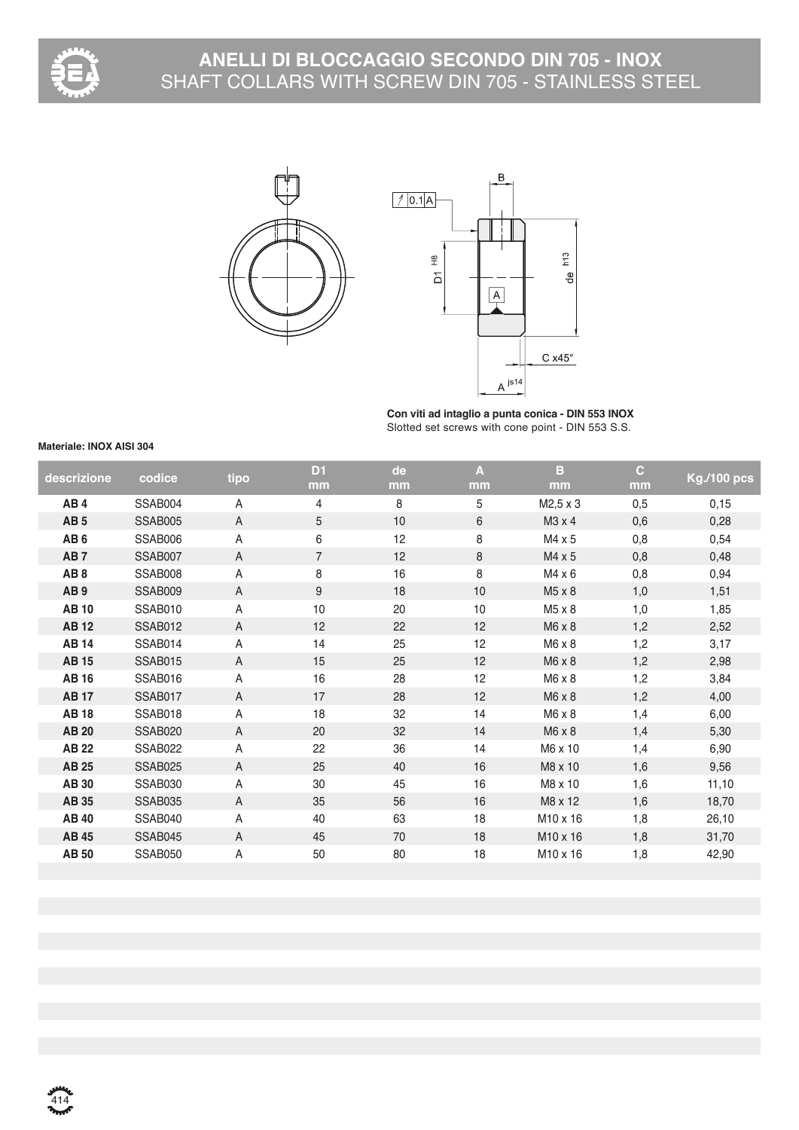

## **ANELLI DI BLOCCAGGIO SECONDO DIN 705 - INOX** SHAFT COLLARS WITH SCREW DIN 705 - STAINLESS STEEL





**Con viti ad intaglio a punta conica - DIN 553 INOX** Slotted set screws with cone point - DIN 553 S.S.

## **Materiale: INOX AISI 304**

| descrizione     | codice         | tipo           | D <sub>1</sub> | de | A  | в                    | $\mathbf{C}$ | <b>Kg./100 pcs</b> |
|-----------------|----------------|----------------|----------------|----|----|----------------------|--------------|--------------------|
|                 |                |                | mm             | mm | mm | mm                   | mm           |                    |
| AB4             | SSAB004        | A              | 4              | 8  | 5  | M2,5 x 3             | 0,5          | 0,15               |
| AB <sub>5</sub> | SSAB005        | $\overline{A}$ | 5              | 10 | 6  | M3 x 4               | 0,6          | 0,28               |
| AB <sub>6</sub> | SSAB006        | A              | 6              | 12 | 8  | M4 x 5               | 0,8          | 0,54               |
| AB <sub>7</sub> | SSAB007        | $\overline{A}$ | $\overline{7}$ | 12 | 8  | M4 x 5               | 0,8          | 0,48               |
| AB <sub>8</sub> | SSAB008        | $\overline{A}$ | 8              | 16 | 8  | M4 x 6               | 0,8          | 0,94               |
| AB <sub>9</sub> | SSAB009        | $\overline{A}$ | 9              | 18 | 10 | M5 x 8               | 1,0          | 1,51               |
| <b>AB10</b>     | SSAB010        | A              | 10             | 20 | 10 | M5 x 8               | 1,0          | 1,85               |
| <b>AB12</b>     | <b>SSAB012</b> | A              | 12             | 22 | 12 | M6 x 8               | 1,2          | 2,52               |
| <b>AB14</b>     | SSAB014        | $\overline{A}$ | 14             | 25 | 12 | M6 x 8               | 1,2          | 3,17               |
| <b>AB15</b>     | <b>SSAB015</b> | A              | 15             | 25 | 12 | M6 x 8               | 1,2          | 2,98               |
| <b>AB16</b>     | SSAB016        | A              | 16             | 28 | 12 | $M6 \times 8$        | 1,2          | 3,84               |
| <b>AB17</b>     | SSAB017        | $\overline{A}$ | 17             | 28 | 12 | M6 x 8               | 1,2          | 4,00               |
| <b>AB18</b>     | SSAB018        | $\overline{A}$ | 18             | 32 | 14 | M6 x 8               | 1,4          | 6,00               |
| <b>AB 20</b>    | SSAB020        | $\overline{A}$ | 20             | 32 | 14 | $M6 \times 8$        | 1,4          | 5,30               |
| <b>AB 22</b>    | SSAB022        | $\overline{A}$ | 22             | 36 | 14 | M6 x 10              | 1,4          | 6,90               |
| <b>AB 25</b>    | SSAB025        | $\overline{A}$ | 25             | 40 | 16 | M8 x 10              | 1,6          | 9,56               |
| <b>AB30</b>     | SSAB030        | A              | 30             | 45 | 16 | M8 x 10              | 1,6          | 11,10              |
| <b>AB 35</b>    | SSAB035        | $\overline{A}$ | 35             | 56 | 16 | M8 x 12              | 1,6          | 18,70              |
| <b>AB40</b>     | SSAB040        | A              | 40             | 63 | 18 | M10 x 16             | 1,8          | 26,10              |
| <b>AB 45</b>    | SSAB045        | $\overline{A}$ | 45             | 70 | 18 | M10 x 16             | 1,8          | 31,70              |
| <b>AB 50</b>    | SSAB050        | A              | 50             | 80 | 18 | M <sub>10</sub> x 16 | 1,8          | 42,90              |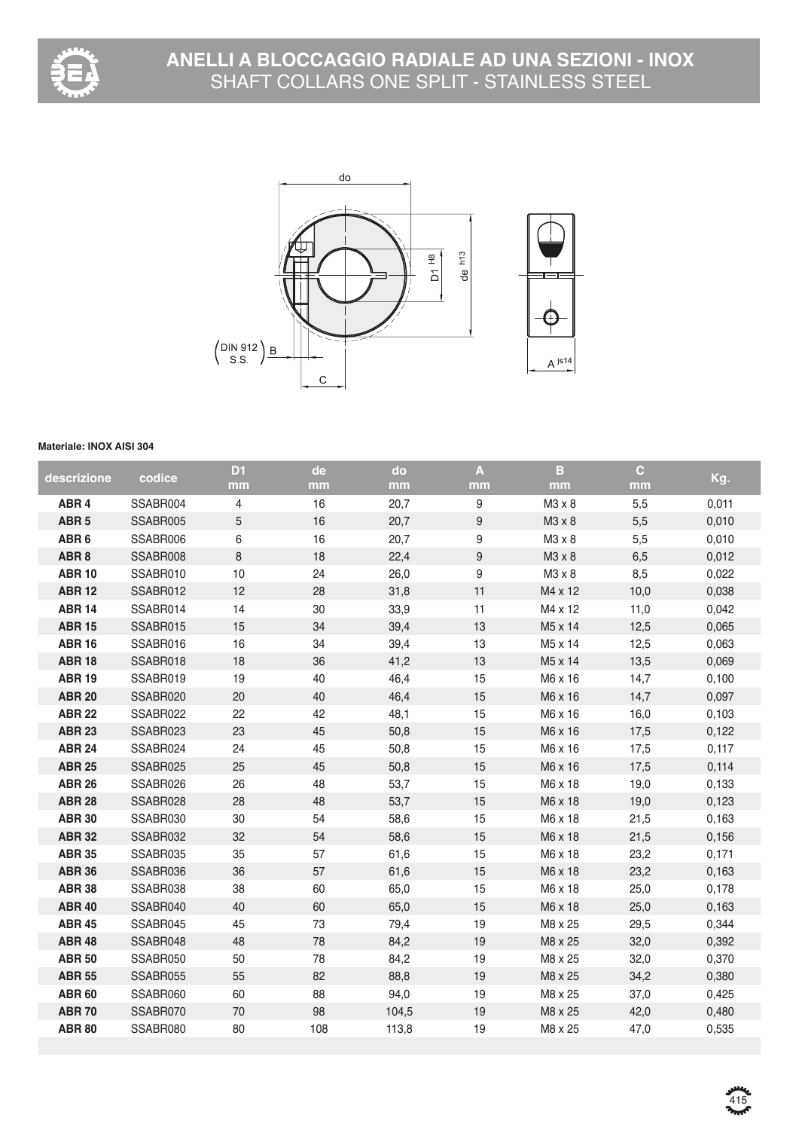



## **Materiale: INOX AISI 304**

| descrizione      | codice   | D <sub>1</sub> | de  | do    | $\mathbf{A}$     | B       | $\mathbf{C}$ | Kg.   |
|------------------|----------|----------------|-----|-------|------------------|---------|--------------|-------|
|                  |          | mm             | mm  | mm    | mm               | mm      | mm           |       |
| ABR <sub>4</sub> | SSABR004 | 4              | 16  | 20,7  | 9                | M3 x 8  | 5,5          | 0,011 |
| ABR <sub>5</sub> | SSABR005 | $\sqrt{5}$     | 16  | 20,7  | $\boldsymbol{9}$ | M3 x 8  | 5,5          | 0,010 |
| ABR <sub>6</sub> | SSABR006 | $\,6$          | 16  | 20,7  | $\boldsymbol{9}$ | M3 x 8  | 5,5          | 0,010 |
| ABR <sub>8</sub> | SSABR008 | $\,8\,$        | 18  | 22,4  | $\boldsymbol{9}$ | M3 x 8  | 6,5          | 0,012 |
| <b>ABR 10</b>    | SSABR010 | 10             | 24  | 26,0  | $\boldsymbol{9}$ | M3 x 8  | 8,5          | 0,022 |
| <b>ABR 12</b>    | SSABR012 | 12             | 28  | 31,8  | 11               | M4 x 12 | 10,0         | 0,038 |
| <b>ABR 14</b>    | SSABR014 | 14             | 30  | 33,9  | 11               | M4 x 12 | 11,0         | 0,042 |
| <b>ABR 15</b>    | SSABR015 | 15             | 34  | 39,4  | 13               | M5 x 14 | 12,5         | 0,065 |
| <b>ABR 16</b>    | SSABR016 | 16             | 34  | 39,4  | 13               | M5 x 14 | 12,5         | 0,063 |
| <b>ABR 18</b>    | SSABR018 | 18             | 36  | 41,2  | 13               | M5 x 14 | 13,5         | 0,069 |
| <b>ABR 19</b>    | SSABR019 | 19             | 40  | 46,4  | 15               | M6 x 16 | 14,7         | 0,100 |
| <b>ABR 20</b>    | SSABR020 | 20             | 40  | 46,4  | 15               | M6 x 16 | 14,7         | 0,097 |
| <b>ABR 22</b>    | SSABR022 | 22             | 42  | 48,1  | 15               | M6 x 16 | 16,0         | 0,103 |
| <b>ABR 23</b>    | SSABR023 | 23             | 45  | 50,8  | 15               | M6 x 16 | 17,5         | 0,122 |
| <b>ABR 24</b>    | SSABR024 | 24             | 45  | 50,8  | 15               | M6 x 16 | 17,5         | 0,117 |
| <b>ABR 25</b>    | SSABR025 | 25             | 45  | 50,8  | 15               | M6 x 16 | 17,5         | 0,114 |
| <b>ABR 26</b>    | SSABR026 | 26             | 48  | 53,7  | 15               | M6 x 18 | 19,0         | 0,133 |
| <b>ABR 28</b>    | SSABR028 | 28             | 48  | 53,7  | 15               | M6 x 18 | 19,0         | 0,123 |
| <b>ABR 30</b>    | SSABR030 | 30             | 54  | 58,6  | 15               | M6 x 18 | 21,5         | 0,163 |
| <b>ABR 32</b>    | SSABR032 | 32             | 54  | 58,6  | 15               | M6 x 18 | 21,5         | 0,156 |
| <b>ABR 35</b>    | SSABR035 | 35             | 57  | 61,6  | 15               | M6 x 18 | 23,2         | 0,171 |
| <b>ABR 36</b>    | SSABR036 | 36             | 57  | 61,6  | 15               | M6 x 18 | 23,2         | 0,163 |
| <b>ABR 38</b>    | SSABR038 | 38             | 60  | 65,0  | 15               | M6 x 18 | 25,0         | 0,178 |
| <b>ABR 40</b>    | SSABR040 | 40             | 60  | 65,0  | 15               | M6 x 18 | 25,0         | 0,163 |
| <b>ABR 45</b>    | SSABR045 | 45             | 73  | 79,4  | 19               | M8 x 25 | 29,5         | 0,344 |
| <b>ABR 48</b>    | SSABR048 | 48             | 78  | 84,2  | 19               | M8 x 25 | 32,0         | 0,392 |
| <b>ABR 50</b>    | SSABR050 | 50             | 78  | 84,2  | 19               | M8 x 25 | 32,0         | 0,370 |
| <b>ABR 55</b>    | SSABR055 | 55             | 82  | 88,8  | 19               | M8 x 25 | 34,2         | 0,380 |
| <b>ABR 60</b>    | SSABR060 | 60             | 88  | 94,0  | 19               | M8 x 25 | 37,0         | 0,425 |
| <b>ABR70</b>     | SSABR070 | 70             | 98  | 104,5 | 19               | M8 x 25 | 42,0         | 0,480 |
| <b>ABR 80</b>    | SSABR080 | 80             | 108 | 113,8 | 19               | M8 x 25 | 47,0         | 0,535 |
|                  |          |                |     |       |                  |         |              |       |